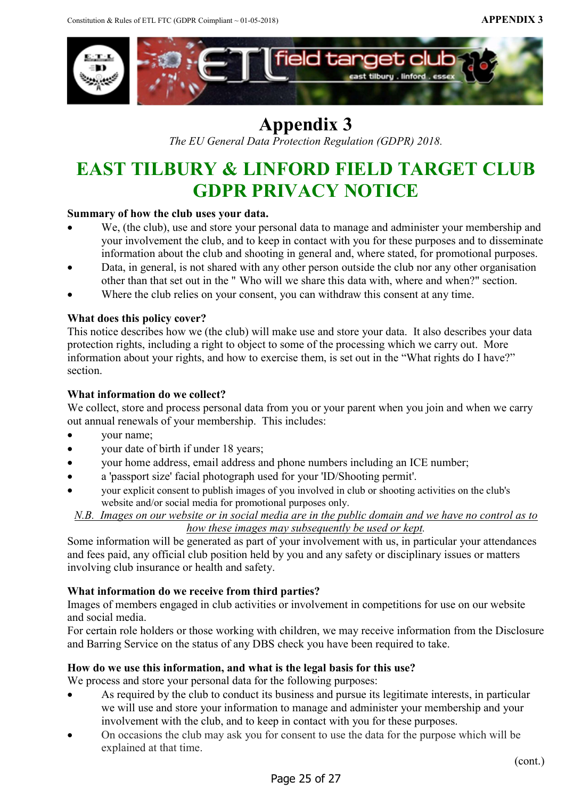

## Appendix 3

The EU General Data Protection Regulation (GDPR) 2018.

# EAST TILBURY & LINFORD FIELD TARGET CLUB GDPR PRIVACY NOTICE

## Summary of how the club uses your data.

- We, (the club), use and store your personal data to manage and administer your membership and your involvement the club, and to keep in contact with you for these purposes and to disseminate information about the club and shooting in general and, where stated, for promotional purposes.
- Data, in general, is not shared with any other person outside the club nor any other organisation other than that set out in the " Who will we share this data with, where and when?" section.
- Where the club relies on your consent, you can withdraw this consent at any time.

## What does this policy cover?

This notice describes how we (the club) will make use and store your data. It also describes your data protection rights, including a right to object to some of the processing which we carry out. More information about your rights, and how to exercise them, is set out in the "What rights do I have?" section.

## What information do we collect?

We collect, store and process personal data from you or your parent when you join and when we carry out annual renewals of your membership. This includes:

- your name;
- your date of birth if under 18 years;
- your home address, email address and phone numbers including an ICE number;
- a 'passport size' facial photograph used for your 'ID/Shooting permit'.
- your explicit consent to publish images of you involved in club or shooting activities on the club's website and/or social media for promotional purposes only.

N.B. Images on our website or in social media are in the public domain and we have no control as to how these images may subsequently be used or kept.

Some information will be generated as part of your involvement with us, in particular your attendances and fees paid, any official club position held by you and any safety or disciplinary issues or matters involving club insurance or health and safety.

## What information do we receive from third parties?

Images of members engaged in club activities or involvement in competitions for use on our website and social media.

For certain role holders or those working with children, we may receive information from the Disclosure and Barring Service on the status of any DBS check you have been required to take.

#### How do we use this information, and what is the legal basis for this use?

We process and store your personal data for the following purposes:

- As required by the club to conduct its business and pursue its legitimate interests, in particular we will use and store your information to manage and administer your membership and your involvement with the club, and to keep in contact with you for these purposes.
- On occasions the club may ask you for consent to use the data for the purpose which will be explained at that time.